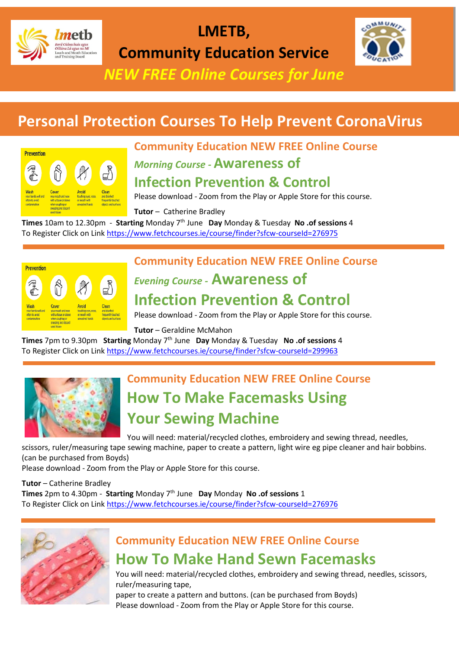

# **LMETB,**

**Community Education Service**

*NEW FREE Online Courses for June*

# **Personal Protection Courses To Help Prevent CoronaVirus**



#### **Community Education NEW FREE Online Course**

*Morning Course -* **Awareness of** 

#### **Infection Prevention & Control**

Please download - Zoom from the Play or Apple Store for this course.

**Tutor** – Catherine Bradley

**Times** 10am to 12.30pm - **Starting** Monday 7th June **Day** Monday & Tuesday **No .of sessions** 4 To Register Click on Lin[k https://www.fetchcourses.ie/course/finder?sfcw-courseId=276975](https://www.fetchcourses.ie/course/finder?sfcw-courseId=276975)



#### **Community Education NEW FREE Online Course**

# *Evening Course -* **Awareness of**

#### **Infection Prevention & Control**

Please download - Zoom from the Play or Apple Store for this course.

#### **Tutor** – Geraldine McMahon

**Times** 7pm to 9.30pm **Starting** Monday 7th June **Day** Monday & Tuesday **No .of sessions** 4 To Register Click on Lin[k https://www.fetchcourses.ie/course/finder?sfcw-courseId=299963](https://www.fetchcourses.ie/course/finder?sfcw-courseId=299963)



## **Community Education NEW FREE Online Course How To Make Facemasks Using Your Sewing Machine**

You will need: material/recycled clothes, embroidery and sewing thread, needles,

scissors, ruler/measuring tape sewing machine, paper to create a pattern, light wire eg pipe cleaner and hair bobbins. (can be purchased from Boyds)

Please download - Zoom from the Play or Apple Store for this course.

**Tutor** – Catherine Bradley **Times** 2pm to 4.30pm - **Starting** Monday 7th June **Day** Monday **No .of sessions** 1 To Register Click on Lin[k https://www.fetchcourses.ie/course/finder?sfcw-courseId=276976](https://www.fetchcourses.ie/course/finder?sfcw-courseId=276976)



#### **Community Education NEW FREE Online Course How To Make Hand Sewn Facemasks**

You will need: material/recycled clothes, embroidery and sewing thread, needles, scissors, ruler/measuring tape,

paper to create a pattern and buttons. (can be purchased from Boyds) Please download - Zoom from the Play or Apple Store for this course.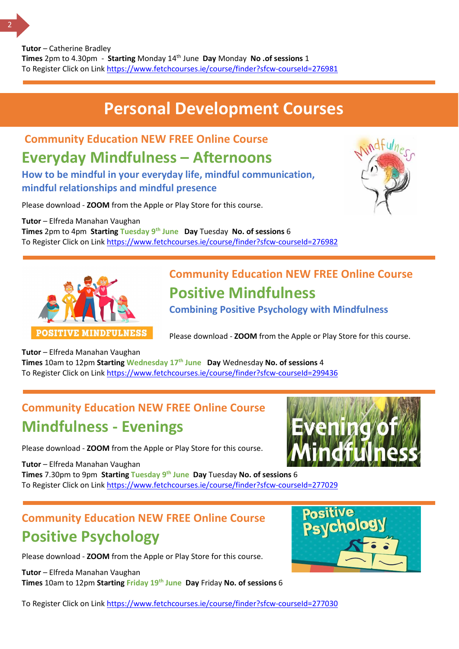# **Personal Development Courses**

**Community Education NEW FREE Online Course**

## **Everyday Mindfulness – Afternoons**

**How to be mindful in your everyday life, mindful communication, mindful relationships and mindful presence**

Please download - **ZOOM** from the Apple or Play Store for this course.

**Tutor** – Elfreda Manahan Vaughan **Times** 2pm to 4pm **Starting Tuesday 9th June Day** Tuesday **No. of sessions** 6 To Register Click on Link <https://www.fetchcourses.ie/course/finder?sfcw-courseId=276982>





## **Community Education NEW FREE Online Course Positive Mindfulness**

**Combining Positive Psychology with Mindfulness**

Please download - **ZOOM** from the Apple or Play Store for this course.

**Tutor** – Elfreda Manahan Vaughan

**Times** 10am to 12pm **Starting Wednesday 17th June Day** Wednesday **No. of sessions** 4 To Register Click on Lin[k https://www.fetchcourses.ie/course/finder?sfcw-courseId=299436](https://www.fetchcourses.ie/course/finder?sfcw-courseId=299436)

#### **Community Education NEW FREE Online Course Mindfulness - Evenings**

Please download - **ZOOM** from the Apple or Play Store for this course.

**Tutor** – Elfreda Manahan Vaughan **Times** 7.30pm to 9pm **Starting Tuesday 9th June Day** Tuesday **No. of sessions** 6 To Register Click on Link <https://www.fetchcourses.ie/course/finder?sfcw-courseId=277029>



### **Community Education NEW FREE Online Course Positive Psychology**

Please download - **ZOOM** from the Apple or Play Store for this course.

**Tutor** – Elfreda Manahan Vaughan **Times** 10am to 12pm **Starting Friday 19th June Day** Friday **No. of sessions** 6



To Register Click on Lin[k https://www.fetchcourses.ie/course/finder?sfcw-courseId=277030](https://www.fetchcourses.ie/course/finder?sfcw-courseId=277030)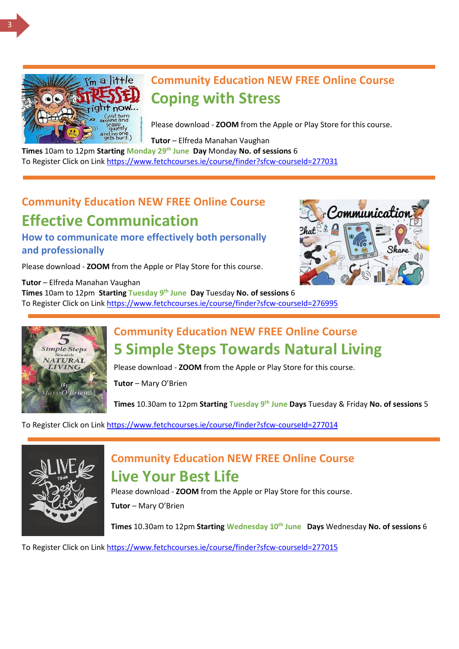

#### **Community Education NEW FREE Online Course Coping with Stress**

Please download - **ZOOM** from the Apple or Play Store for this course.

**Tutor** – Elfreda Manahan Vaughan

**Times** 10am to 12pm Starting Monday 29<sup>th</sup> June Day Monday No. of sessions 6 To Register Click on Lin[k https://www.fetchcourses.ie/course/finder?sfcw-courseId=277031](https://www.fetchcourses.ie/course/finder?sfcw-courseId=277031)

# **Community Education NEW FREE Online Course Effective Communication**

**How to communicate more effectively both personally and professionally**

Please download - **ZOOM** from the Apple or Play Store for this course.

**Tutor** – Elfreda Manahan Vaughan **Times** 10am to 12pm **Starting Tuesday 9th June Day** Tuesday **No. of sessions** 6 To Register Click on Lin[k https://www.fetchcourses.ie/course/finder?sfcw-courseId=276995](https://www.fetchcourses.ie/course/finder?sfcw-courseId=276995)





#### **Community Education NEW FREE Online Course 5 Simple Steps Towards Natural Living**

Please download - **ZOOM** from the Apple or Play Store for this course.

**Tutor** – Mary O'Brien

**Times** 10.30am to 12pm **Starting Tuesday 9th June Days** Tuesday & Friday **No. of sessions** 5

To Register Click on Lin[k https://www.fetchcourses.ie/course/finder?sfcw-courseId=277014](https://www.fetchcourses.ie/course/finder?sfcw-courseId=277014)



#### **Community Education NEW FREE Online Course Live Your Best Life**

Please download - **ZOOM** from the Apple or Play Store for this course.

**Tutor** – Mary O'Brien

**Times** 10.30am to 12pm **Starting Wednesday 10th June Days** Wednesday **No. of sessions** 6

To Register Click on Lin[k https://www.fetchcourses.ie/course/finder?sfcw-courseId=277015](https://www.fetchcourses.ie/course/finder?sfcw-courseId=277015)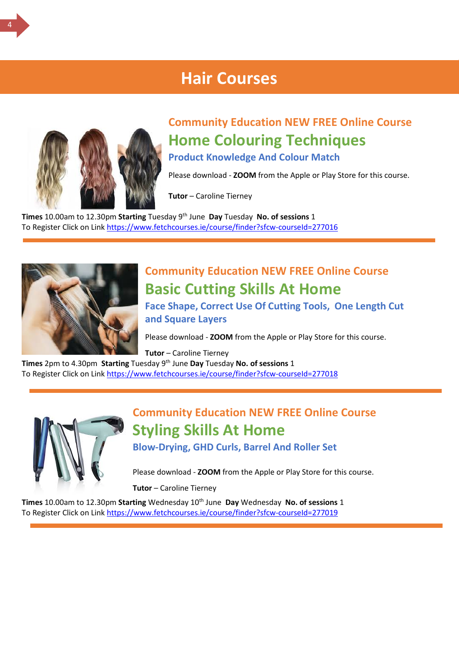#### **Hair Courses**



## **Community Education NEW FREE Online Course Home Colouring Techniques**

**Product Knowledge And Colour Match**

Please download - **ZOOM** from the Apple or Play Store for this course.

**Tutor** – Caroline Tierney

**Times** 10.00am to 12.30pm **Starting** Tuesday 9th June **Day** Tuesday **No. of sessions** 1 To Register Click on Lin[k https://www.fetchcourses.ie/course/finder?sfcw-courseId=277016](https://www.fetchcourses.ie/course/finder?sfcw-courseId=277016)



# **Community Education NEW FREE Online Course Basic Cutting Skills At Home**

**Face Shape, Correct Use Of Cutting Tools, One Length Cut and Square Layers**

Please download - **ZOOM** from the Apple or Play Store for this course.

**Tutor** – Caroline Tierney

**Times** 2pm to 4.30pm **Starting** Tuesday 9th June **Day** Tuesday **No. of sessions** 1 To Register Click on Lin[k https://www.fetchcourses.ie/course/finder?sfcw-courseId=277018](https://www.fetchcourses.ie/course/finder?sfcw-courseId=277018)



#### **Community Education NEW FREE Online Course Styling Skills At Home Blow-Drying, GHD Curls, Barrel And Roller Set**

Please download - **ZOOM** from the Apple or Play Store for this course.

**Tutor** – Caroline Tierney

**Times** 10.00am to 12.30pm **Starting** Wednesday 10th June **Day** Wednesday **No. of sessions** 1 To Register Click on Lin[k https://www.fetchcourses.ie/course/finder?sfcw-courseId=277019](https://www.fetchcourses.ie/course/finder?sfcw-courseId=277019)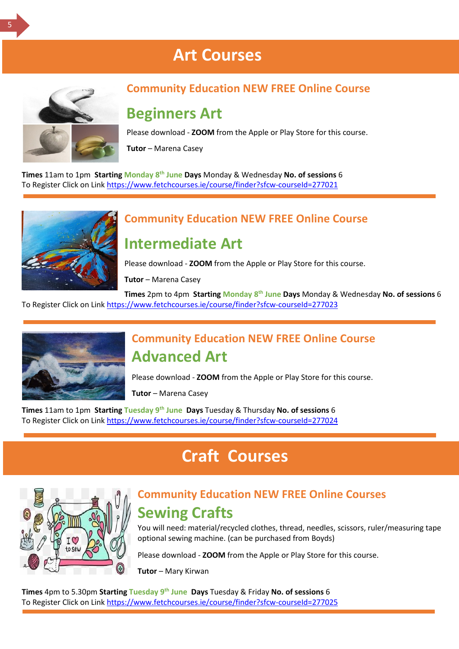# **Art Courses**



#### **Community Education NEW FREE Online Course**

#### **Beginners Art**

Please download - **ZOOM** from the Apple or Play Store for this course.

**Tutor** – Marena Casey

**Times** 11am to 1pm **Starting Monday 8th June Days** Monday & Wednesday **No. of sessions** 6 To Register Click on Lin[k https://www.fetchcourses.ie/course/finder?sfcw-courseId=277021](https://www.fetchcourses.ie/course/finder?sfcw-courseId=277021)



#### **Community Education NEW FREE Online Course**

#### **Intermediate Art**

Please download - **ZOOM** from the Apple or Play Store for this course.

**Tutor** – Marena Casey

**Times** 2pm to 4pm **Starting Monday 8th June Days** Monday & Wednesday **No. of sessions** 6 To Register Click on Lin[k https://www.fetchcourses.ie/course/finder?sfcw-courseId=277023](https://www.fetchcourses.ie/course/finder?sfcw-courseId=277023)



#### **Community Education NEW FREE Online Course Advanced Art**

Please download - **ZOOM** from the Apple or Play Store for this course.

**Tutor** – Marena Casey

**Times** 11am to 1pm **Starting Tuesday 9th June Days** Tuesday & Thursday **No. of sessions** 6 To Register Click on Lin[k https://www.fetchcourses.ie/course/finder?sfcw-courseId=277024](https://www.fetchcourses.ie/course/finder?sfcw-courseId=277024)

# **Craft Courses**

#### **Community Education NEW FREE Online Courses Sewing Crafts**

You will need: material/recycled clothes, thread, needles, scissors, ruler/measuring tape optional sewing machine. (can be purchased from Boyds)

Please download - **ZOOM** from the Apple or Play Store for this course.

**Tutor** – Mary Kirwan

**Times** 4pm to 5.30pm **Starting Tuesday 9th June Days** Tuesday & Friday **No. of sessions** 6 To Register Click on Link <https://www.fetchcourses.ie/course/finder?sfcw-courseId=277025>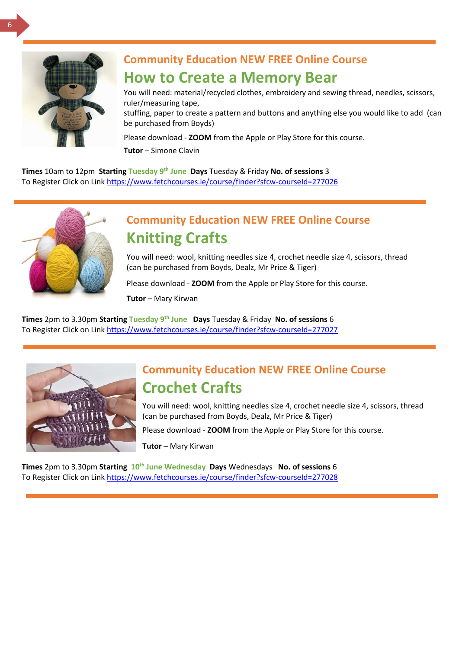

#### **Community Education NEW FREE Online Course How to Create a Memory Bear**

You will need: material/recycled clothes, embroidery and sewing thread, needles, scissors, ruler/measuring tape,

stuffing, paper to create a pattern and buttons and anything else you would like to add (can be purchased from Boyds)

Please download - **ZOOM** from the Apple or Play Store for this course.

**Tutor** – Simone Clavin

**Times** 10am to 12pm **Starting Tuesday 9th June Days** Tuesday & Friday **No. of sessions** 3 To Register Click on Lin[k https://www.fetchcourses.ie/course/finder?sfcw-courseId=277026](https://www.fetchcourses.ie/course/finder?sfcw-courseId=277026)



#### **Community Education NEW FREE Online Course Knitting Crafts**

You will need: wool, knitting needles size 4, crochet needle size 4, scissors, thread (can be purchased from Boyds, Dealz, Mr Price & Tiger)

Please download - **ZOOM** from the Apple or Play Store for this course.

**Tutor** – Mary Kirwan

**Times** 2pm to 3.30pm **Starting Tuesday 9th June Days** Tuesday & Friday **No. of sessions** 6 To Register Click on Lin[k https://www.fetchcourses.ie/course/finder?sfcw-courseId=277027](https://www.fetchcourses.ie/course/finder?sfcw-courseId=277027)



#### **Community Education NEW FREE Online Course Crochet Crafts**

You will need: wool, knitting needles size 4, crochet needle size 4, scissors, thread (can be purchased from Boyds, Dealz, Mr Price & Tiger)

Please download - **ZOOM** from the Apple or Play Store for this course.

**Tutor** – Mary Kirwan

**Times** 2pm to 3.30pm Starting 10<sup>th</sup> June Wednesday Days Wednesdays No. of sessions 6 To Register Click on Lin[k https://www.fetchcourses.ie/course/finder?sfcw-courseId=277028](https://www.fetchcourses.ie/course/finder?sfcw-courseId=277028)